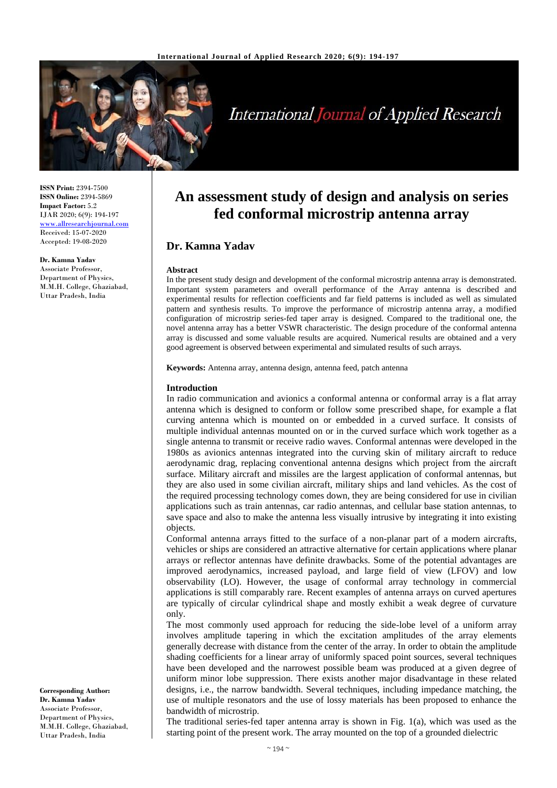

# **International Journal of Applied Research**

**ISSN Print:** 2394-7500 **ISSN Online:** 2394-5869 **Impact Factor:** 5.2 IJAR 2020; 6(9): 194-197 <www.allresearchjournal.com> Received: 15-07-2020 Accepted: 19-08-2020

**Dr. Kamna Yadav** Associate Professor, Department of Physics, M.M.H. College, Ghaziabad, Uttar Pradesh, India

**An assessment study of design and analysis on series fed conformal microstrip antenna array**

## **Dr. Kamna Yadav**

#### **Abstract**

In the present study design and development of the conformal microstrip antenna array is demonstrated. Important system parameters and overall performance of the Array antenna is described and experimental results for reflection coefficients and far field patterns is included as well as simulated pattern and synthesis results. To improve the performance of microstrip antenna array, a modified configuration of microstrip series-fed taper array is designed. Compared to the traditional one, the novel antenna array has a better VSWR characteristic. The design procedure of the conformal antenna array is discussed and some valuable results are acquired. Numerical results are obtained and a very good agreement is observed between experimental and simulated results of such arrays.

**Keywords:** Antenna array, antenna design, antenna feed, patch antenna

#### **Introduction**

In radio communication and avionics a conformal antenna or conformal array is a flat array antenna which is designed to conform or follow some prescribed shape, for example a flat curving antenna which is mounted on or embedded in a curved surface. It consists of multiple individual antennas mounted on or in the curved surface which work together as a single antenna to transmit or receive radio waves. Conformal antennas were developed in the 1980s as avionics antennas integrated into the curving skin of military aircraft to reduce aerodynamic drag, replacing conventional antenna designs which project from the aircraft surface. Military aircraft and missiles are the largest application of conformal antennas, but they are also used in some civilian aircraft, military ships and land vehicles. As the cost of the required processing technology comes down, they are being considered for use in civilian applications such as train antennas, car radio antennas, and cellular base station antennas, to save space and also to make the antenna less visually intrusive by integrating it into existing objects.

Conformal antenna arrays fitted to the surface of a non-planar part of a modern aircrafts, vehicles or ships are considered an attractive alternative for certain applications where planar arrays or reflector antennas have definite drawbacks. Some of the potential advantages are improved aerodynamics, increased payload, and large field of view (LFOV) and low observability (LO). However, the usage of conformal array technology in commercial applications is still comparably rare. Recent examples of antenna arrays on curved apertures are typically of circular cylindrical shape and mostly exhibit a weak degree of curvature only.

The most commonly used approach for reducing the side-lobe level of a uniform array involves amplitude tapering in which the excitation amplitudes of the array elements generally decrease with distance from the center of the array. In order to obtain the amplitude shading coefficients for a linear array of uniformly spaced point sources, several techniques have been developed and the narrowest possible beam was produced at a given degree of uniform minor lobe suppression. There exists another major disadvantage in these related designs, i.e., the narrow bandwidth. Several techniques, including impedance matching, the use of multiple resonators and the use of lossy materials has been proposed to enhance the bandwidth of microstrip.

The traditional series-fed taper antenna array is shown in Fig. 1(a), which was used as the starting point of the present work. The array mounted on the top of a grounded dielectric

**Corresponding Author: Dr. Kamna Yadav** Associate Professor, Department of Physics, M.M.H. College, Ghaziabad, Uttar Pradesh, India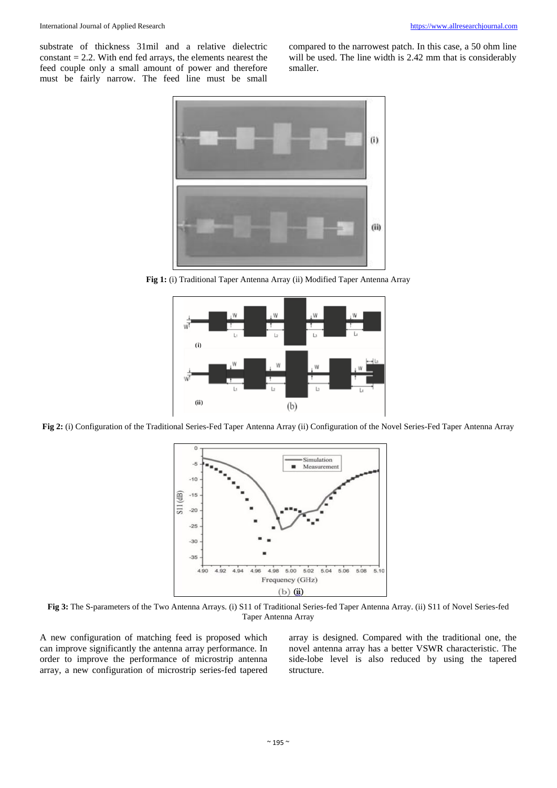substrate of thickness 31mil and a relative dielectric  $constant = 2.2$ . With end fed arrays, the elements nearest the feed couple only a small amount of power and therefore must be fairly narrow. The feed line must be small compared to the narrowest patch. In this case, a 50 ohm line will be used. The line width is 2.42 mm that is considerably smaller.



**Fig 1:** (i) Traditional Taper Antenna Array (ii) Modified Taper Antenna Array



**Fig 2:** (i) Configuration of the Traditional Series-Fed Taper Antenna Array (ii) Configuration of the Novel Series-Fed Taper Antenna Array



**Fig 3:** The S-parameters of the Two Antenna Arrays. (i) S11 of Traditional Series-fed Taper Antenna Array. (ii) S11 of Novel Series-fed Taper Antenna Array

A new configuration of matching feed is proposed which can improve significantly the antenna array performance. In order to improve the performance of microstrip antenna array, a new configuration of microstrip series-fed tapered array is designed. Compared with the traditional one, the novel antenna array has a better VSWR characteristic. The side-lobe level is also reduced by using the tapered structure.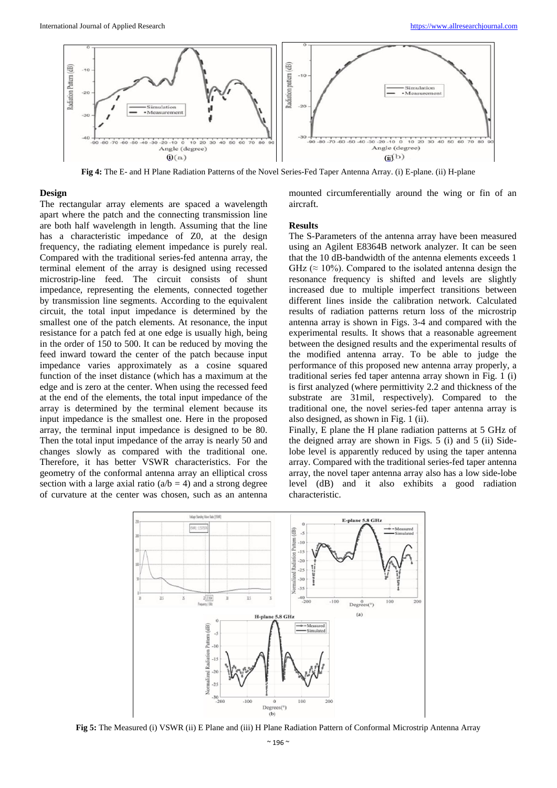

**Fig 4:** The E- and H Plane Radiation Patterns of the Novel Series-Fed Taper Antenna Array. (i) E-plane. (ii) H-plane

#### **Design**

The rectangular array elements are spaced a wavelength apart where the patch and the connecting transmission line are both half wavelength in length. Assuming that the line has a characteristic impedance of Z0, at the design frequency, the radiating element impedance is purely real. Compared with the traditional series-fed antenna array, the terminal element of the array is designed using recessed microstrip-line feed. The circuit consists of shunt impedance, representing the elements, connected together by transmission line segments. According to the equivalent circuit, the total input impedance is determined by the smallest one of the patch elements. At resonance, the input resistance for a patch fed at one edge is usually high, being in the order of 150 to 500. It can be reduced by moving the feed inward toward the center of the patch because input impedance varies approximately as a cosine squared function of the inset distance (which has a maximum at the edge and is zero at the center. When using the recessed feed at the end of the elements, the total input impedance of the array is determined by the terminal element because its input impedance is the smallest one. Here in the proposed array, the terminal input impedance is designed to be 80. Then the total input impedance of the array is nearly 50 and changes slowly as compared with the traditional one. Therefore, it has better VSWR characteristics. For the geometry of the conformal antenna array an elliptical cross section with a large axial ratio  $(a/b = 4)$  and a strong degree of curvature at the center was chosen, such as an antenna

mounted circumferentially around the wing or fin of an aircraft.

#### **Results**

The S-Parameters of the antenna array have been measured using an Agilent E8364B network analyzer. It can be seen that the 10 dB-bandwidth of the antenna elements exceeds 1 GHz ( $\approx$  10%). Compared to the isolated antenna design the resonance frequency is shifted and levels are slightly increased due to multiple imperfect transitions between different lines inside the calibration network. Calculated results of radiation patterns return loss of the microstrip antenna array is shown in Figs. 3-4 and compared with the experimental results. It shows that a reasonable agreement between the designed results and the experimental results of the modified antenna array. To be able to judge the performance of this proposed new antenna array properly, a traditional series fed taper antenna array shown in Fig. 1 (i) is first analyzed (where permittivity 2.2 and thickness of the substrate are 31mil, respectively). Compared to the traditional one, the novel series-fed taper antenna array is also designed, as shown in Fig. 1 (ii).

Finally, E plane the H plane radiation patterns at 5 GHz of the deigned array are shown in Figs. 5 (i) and 5 (ii) Sidelobe level is apparently reduced by using the taper antenna array. Compared with the traditional series-fed taper antenna array, the novel taper antenna array also has a low side-lobe level (dB) and it also exhibits a good radiation characteristic.



**Fig 5:** The Measured (i) VSWR (ii) E Plane and (iii) H Plane Radiation Pattern of Conformal Microstrip Antenna Array